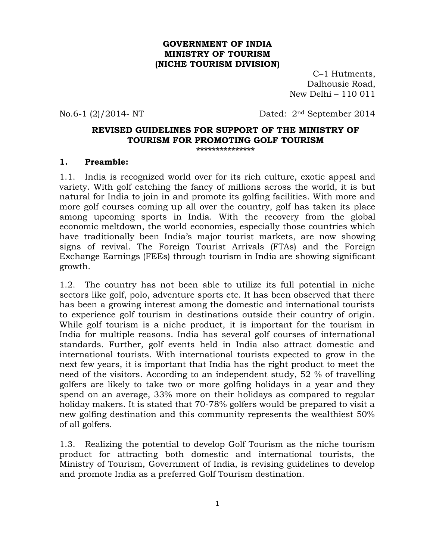#### **GOVERNMENT OF INDIA MINISTRY OF TOURISM (NICHE TOURISM DIVISION)**

C–1 Hutments, Dalhousie Road, New Delhi – 110 011

No.6-1 (2)/2014- NT Dated: 2nd September 2014

# **REVISED GUIDELINES FOR SUPPORT OF THE MINISTRY OF TOURISM FOR PROMOTING GOLF TOURISM**

**\*\*\*\*\*\*\*\*\*\*\*\*\*\*\***

#### **1. Preamble:**

1.1. India is recognized world over for its rich culture, exotic appeal and variety. With golf catching the fancy of millions across the world, it is but natural for India to join in and promote its golfing facilities. With more and more golf courses coming up all over the country, golf has taken its place among upcoming sports in India. With the recovery from the global economic meltdown, the world economies, especially those countries which have traditionally been India's major tourist markets, are now showing signs of revival. The Foreign Tourist Arrivals (FTAs) and the Foreign Exchange Earnings (FEEs) through tourism in India are showing significant growth.

1.2. The country has not been able to utilize its full potential in niche sectors like golf, polo, adventure sports etc. It has been observed that there has been a growing interest among the domestic and international tourists to experience golf tourism in destinations outside their country of origin. While golf tourism is a niche product, it is important for the tourism in India for multiple reasons. India has several golf courses of international standards. Further, golf events held in India also attract domestic and international tourists. With international tourists expected to grow in the next few years, it is important that India has the right product to meet the need of the visitors. According to an independent study, 52 % of travelling golfers are likely to take two or more golfing holidays in a year and they spend on an average, 33% more on their holidays as compared to regular holiday makers. It is stated that 70-78% golfers would be prepared to visit a new golfing destination and this community represents the wealthiest 50% of all golfers.

1.3. Realizing the potential to develop Golf Tourism as the niche tourism product for attracting both domestic and international tourists, the Ministry of Tourism, Government of India, is revising guidelines to develop and promote India as a preferred Golf Tourism destination.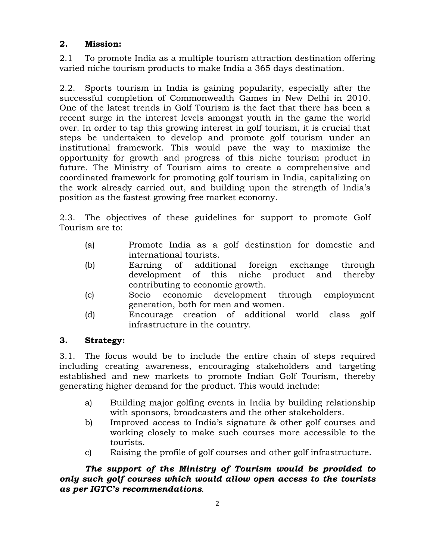## **2. Mission:**

2.1 To promote India as a multiple tourism attraction destination offering varied niche tourism products to make India a 365 days destination.

2.2. Sports tourism in India is gaining popularity, especially after the successful completion of Commonwealth Games in New Delhi in 2010. One of the latest trends in Golf Tourism is the fact that there has been a recent surge in the interest levels amongst youth in the game the world over. In order to tap this growing interest in golf tourism, it is crucial that steps be undertaken to develop and promote golf tourism under an institutional framework. This would pave the way to maximize the opportunity for growth and progress of this niche tourism product in future. The Ministry of Tourism aims to create a comprehensive and coordinated framework for promoting golf tourism in India, capitalizing on the work already carried out, and building upon the strength of India's position as the fastest growing free market economy.

2.3. The objectives of these guidelines for support to promote Golf Tourism are to:

- (a) Promote India as a golf destination for domestic and international tourists.
- (b) Earning of additional foreign exchange through development of this niche product and thereby contributing to economic growth.
- (c) Socio economic development through employment generation, both for men and women.
- (d) Encourage creation of additional world class golf infrastructure in the country.

### **3. Strategy:**

3.1. The focus would be to include the entire chain of steps required including creating awareness, encouraging stakeholders and targeting established and new markets to promote Indian Golf Tourism, thereby generating higher demand for the product. This would include:

- a) Building major golfing events in India by building relationship with sponsors, broadcasters and the other stakeholders.
- b) Improved access to India's signature & other golf courses and working closely to make such courses more accessible to the tourists.
- c) Raising the profile of golf courses and other golf infrastructure.

*The support of the Ministry of Tourism would be provided to only such golf courses which would allow open access to the tourists as per IGTC's recommendations.*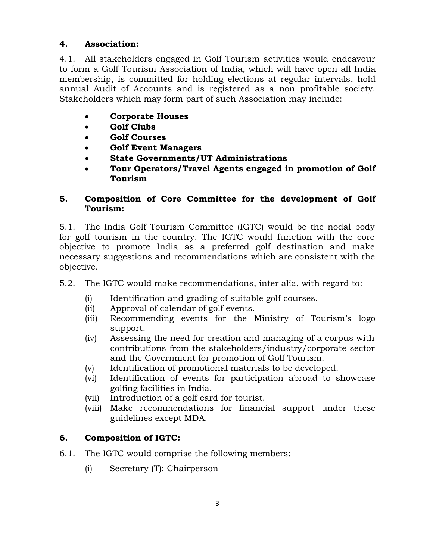# **4. Association:**

4.1. All stakeholders engaged in Golf Tourism activities would endeavour to form a Golf Tourism Association of India, which will have open all India membership, is committed for holding elections at regular intervals, hold annual Audit of Accounts and is registered as a non profitable society. Stakeholders which may form part of such Association may include:

- **Corporate Houses**
- **Golf Clubs**
- **Golf Courses**
- **Golf Event Managers**
- **State Governments/UT Administrations**
- **Tour Operators/Travel Agents engaged in promotion of Golf Tourism**

## **5. Composition of Core Committee for the development of Golf Tourism:**

5.1. The India Golf Tourism Committee (IGTC) would be the nodal body for golf tourism in the country. The IGTC would function with the core objective to promote India as a preferred golf destination and make necessary suggestions and recommendations which are consistent with the objective.

- 5.2. The IGTC would make recommendations, inter alia, with regard to:
	- (i) Identification and grading of suitable golf courses.
	- (ii) Approval of calendar of golf events.
	- (iii) Recommending events for the Ministry of Tourism's logo support.
	- (iv) Assessing the need for creation and managing of a corpus with contributions from the stakeholders/industry/corporate sector and the Government for promotion of Golf Tourism.
	- (v) Identification of promotional materials to be developed.
	- (vi) Identification of events for participation abroad to showcase golfing facilities in India.
	- (vii) Introduction of a golf card for tourist.
	- (viii) Make recommendations for financial support under these guidelines except MDA.

# **6. Composition of IGTC:**

- 6.1. The IGTC would comprise the following members:
	- (i) Secretary (T): Chairperson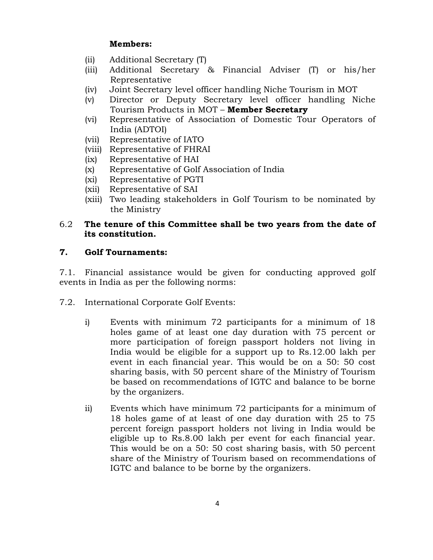### **Members:**

- (ii) Additional Secretary (T)
- (iii) Additional Secretary & Financial Adviser (T) or his/her Representative
- (iv) Joint Secretary level officer handling Niche Tourism in MOT
- (v) Director or Deputy Secretary level officer handling Niche Tourism Products in MOT – **Member Secretary**
- (vi) Representative of Association of Domestic Tour Operators of India (ADTOI)
- (vii) Representative of IATO
- (viii) Representative of FHRAI
- (ix) Representative of HAI
- (x) Representative of Golf Association of India
- (xi) Representative of PGTI
- (xii) Representative of SAI
- (xiii) Two leading stakeholders in Golf Tourism to be nominated by the Ministry

### 6.2 **The tenure of this Committee shall be two years from the date of its constitution.**

### **7. Golf Tournaments:**

7.1. Financial assistance would be given for conducting approved golf events in India as per the following norms:

- 7.2. International Corporate Golf Events:
	- i) Events with minimum 72 participants for a minimum of 18 holes game of at least one day duration with 75 percent or more participation of foreign passport holders not living in India would be eligible for a support up to Rs.12.00 lakh per event in each financial year. This would be on a 50: 50 cost sharing basis, with 50 percent share of the Ministry of Tourism be based on recommendations of IGTC and balance to be borne by the organizers.
	- ii) Events which have minimum 72 participants for a minimum of 18 holes game of at least of one day duration with 25 to 75 percent foreign passport holders not living in India would be eligible up to Rs.8.00 lakh per event for each financial year. This would be on a 50: 50 cost sharing basis, with 50 percent share of the Ministry of Tourism based on recommendations of IGTC and balance to be borne by the organizers.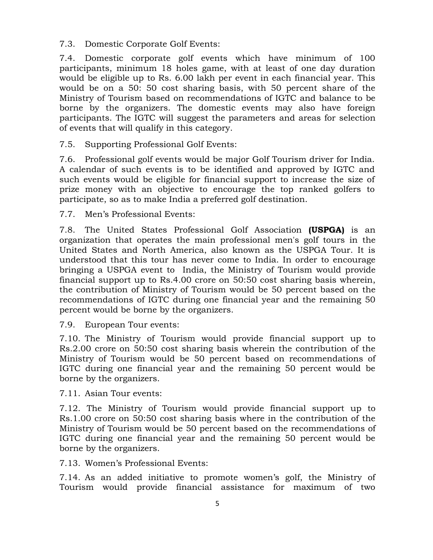7.3. Domestic Corporate Golf Events:

7.4. Domestic corporate golf events which have minimum of 100 participants, minimum 18 holes game, with at least of one day duration would be eligible up to Rs. 6.00 lakh per event in each financial year. This would be on a 50: 50 cost sharing basis, with 50 percent share of the Ministry of Tourism based on recommendations of IGTC and balance to be borne by the organizers. The domestic events may also have foreign participants. The IGTC will suggest the parameters and areas for selection of events that will qualify in this category.

7.5. Supporting Professional Golf Events:

7.6. Professional golf events would be major Golf Tourism driver for India. A calendar of such events is to be identified and approved by IGTC and such events would be eligible for financial support to increase the size of prize money with an objective to encourage the top ranked golfers to participate, so as to make India a preferred golf destination.

7.7. Men's Professional Events:

7.8. The United States Professional Golf Association **(USPGA)** is an organization that operates the main professional men's golf tours in the United States and North America, also known as the USPGA Tour. It is understood that this tour has never come to India. In order to encourage bringing a USPGA event to India, the Ministry of Tourism would provide financial support up to Rs.4.00 crore on 50:50 cost sharing basis wherein, the contribution of Ministry of Tourism would be 50 percent based on the recommendations of IGTC during one financial year and the remaining 50 percent would be borne by the organizers.

7.9. European Tour events:

7.10. The Ministry of Tourism would provide financial support up to Rs.2.00 crore on 50:50 cost sharing basis wherein the contribution of the Ministry of Tourism would be 50 percent based on recommendations of IGTC during one financial year and the remaining 50 percent would be borne by the organizers.

7.11. Asian Tour events:

7.12. The Ministry of Tourism would provide financial support up to Rs.1.00 crore on 50:50 cost sharing basis where in the contribution of the Ministry of Tourism would be 50 percent based on the recommendations of IGTC during one financial year and the remaining 50 percent would be borne by the organizers.

7.13. Women's Professional Events:

7.14. As an added initiative to promote women's golf, the Ministry of Tourism would provide financial assistance for maximum of two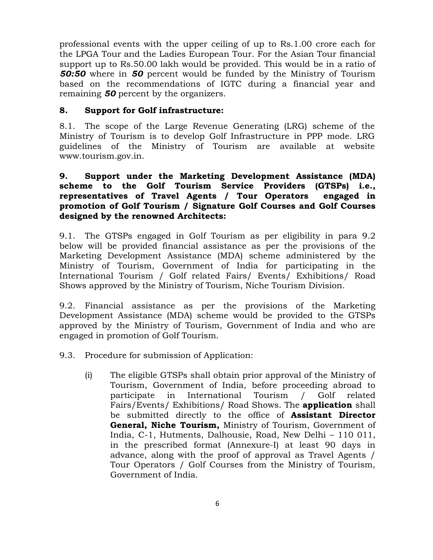professional events with the upper ceiling of up to Rs.1.00 crore each for the LPGA Tour and the Ladies European Tour. For the Asian Tour financial support up to Rs.50.00 lakh would be provided. This would be in a ratio of *50:50* where in *50* percent would be funded by the Ministry of Tourism based on the recommendations of IGTC during a financial year and remaining *50* percent by the organizers.

### **8. Support for Golf infrastructure:**

8.1. The scope of the Large Revenue Generating (LRG) scheme of the Ministry of Tourism is to develop Golf Infrastructure in PPP mode. LRG guidelines of the Ministry of Tourism are available at website www.tourism.gov.in.

### **9. Support under the Marketing Development Assistance (MDA) scheme to the Golf Tourism Service Providers (GTSPs) i.e., representatives of Travel Agents / Tour Operators engaged in promotion of Golf Tourism / Signature Golf Courses and Golf Courses designed by the renowned Architects:**

9.1. The GTSPs engaged in Golf Tourism as per eligibility in para 9.2 below will be provided financial assistance as per the provisions of the Marketing Development Assistance (MDA) scheme administered by the Ministry of Tourism, Government of India for participating in the International Tourism / Golf related Fairs/ Events/ Exhibitions/ Road Shows approved by the Ministry of Tourism, Niche Tourism Division.

9.2. Financial assistance as per the provisions of the Marketing Development Assistance (MDA) scheme would be provided to the GTSPs approved by the Ministry of Tourism, Government of India and who are engaged in promotion of Golf Tourism.

- 9.3. Procedure for submission of Application:
	- (i) The eligible GTSPs shall obtain prior approval of the Ministry of Tourism, Government of India, before proceeding abroad to participate in International Tourism / Golf related Fairs/Events/ Exhibitions/ Road Shows. The **application** shall be submitted directly to the office of **Assistant Director General, Niche Tourism,** Ministry of Tourism, Government of India, C-1, Hutments, Dalhousie, Road, New Delhi – 110 011, in the prescribed format (Annexure-I) at least 90 days in advance, along with the proof of approval as Travel Agents / Tour Operators / Golf Courses from the Ministry of Tourism, Government of India.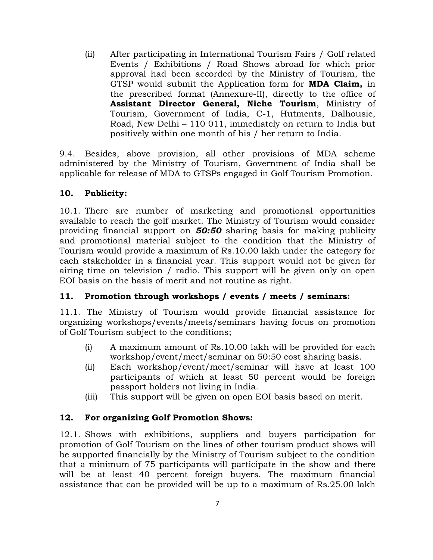(ii) After participating in International Tourism Fairs / Golf related Events / Exhibitions / Road Shows abroad for which prior approval had been accorded by the Ministry of Tourism, the GTSP would submit the Application form for **MDA Claim,** in the prescribed format (Annexure-II), directly to the office of **Assistant Director General, Niche Tourism**, Ministry of Tourism, Government of India, C-1, Hutments, Dalhousie, Road, New Delhi – 110 011, immediately on return to India but positively within one month of his / her return to India.

9.4. Besides, above provision, all other provisions of MDA scheme administered by the Ministry of Tourism, Government of India shall be applicable for release of MDA to GTSPs engaged in Golf Tourism Promotion.

### **10. Publicity:**

10.1. There are number of marketing and promotional opportunities available to reach the golf market. The Ministry of Tourism would consider providing financial support on *50:50* sharing basis for making publicity and promotional material subject to the condition that the Ministry of Tourism would provide a maximum of Rs.10.00 lakh under the category for each stakeholder in a financial year. This support would not be given for airing time on television / radio. This support will be given only on open EOI basis on the basis of merit and not routine as right.

## **11. Promotion through workshops / events / meets / seminars:**

11.1. The Ministry of Tourism would provide financial assistance for organizing workshops/events/meets/seminars having focus on promotion of Golf Tourism subject to the conditions;

- (i) A maximum amount of Rs.10.00 lakh will be provided for each workshop/event/meet/seminar on 50:50 cost sharing basis.
- (ii) Each workshop/event/meet/seminar will have at least 100 participants of which at least 50 percent would be foreign passport holders not living in India.
- (iii) This support will be given on open EOI basis based on merit.

### **12. For organizing Golf Promotion Shows:**

12.1. Shows with exhibitions, suppliers and buyers participation for promotion of Golf Tourism on the lines of other tourism product shows will be supported financially by the Ministry of Tourism subject to the condition that a minimum of 75 participants will participate in the show and there will be at least 40 percent foreign buyers. The maximum financial assistance that can be provided will be up to a maximum of Rs.25.00 lakh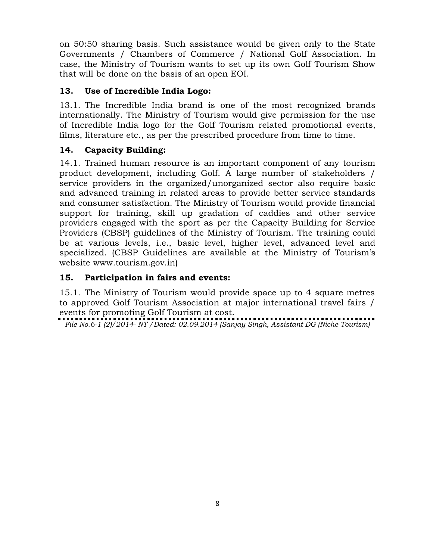on 50:50 sharing basis. Such assistance would be given only to the State Governments / Chambers of Commerce / National Golf Association. In case, the Ministry of Tourism wants to set up its own Golf Tourism Show that will be done on the basis of an open EOI.

## **13. Use of Incredible India Logo:**

13.1. The Incredible India brand is one of the most recognized brands internationally. The Ministry of Tourism would give permission for the use of Incredible India logo for the Golf Tourism related promotional events, films, literature etc., as per the prescribed procedure from time to time.

## **14. Capacity Building:**

14.1. Trained human resource is an important component of any tourism product development, including Golf. A large number of stakeholders / service providers in the organized/unorganized sector also require basic and advanced training in related areas to provide better service standards and consumer satisfaction. The Ministry of Tourism would provide financial support for training, skill up gradation of caddies and other service providers engaged with the sport as per the Capacity Building for Service Providers (CBSP) guidelines of the Ministry of Tourism. The training could be at various levels, i.e., basic level, higher level, advanced level and specialized. (CBSP Guidelines are available at the Ministry of Tourism's website www.tourism.gov.in)

### **15. Participation in fairs and events:**

15.1. The Ministry of Tourism would provide space up to 4 square metres to approved Golf Tourism Association at major international travel fairs / events for promoting Golf Tourism at cost.

*File No.6-1 (2)/2014- NT /Dated: 02.09.2014 (Sanjay Singh, Assistant DG (Niche Tourism)*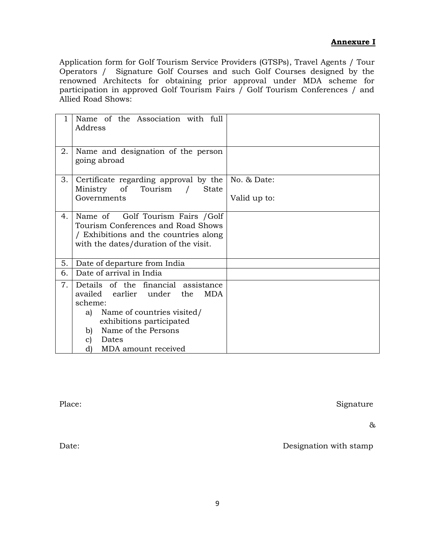#### **Annexure I**

Application form for Golf Tourism Service Providers (GTSPs), Travel Agents / Tour Operators / Signature Golf Courses and such Golf Courses designed by the renowned Architects for obtaining prior approval under MDA scheme for participation in approved Golf Tourism Fairs / Golf Tourism Conferences / and Allied Road Shows:

| 1  | Name of the Association with full<br>Address                                                                                                                                                                                          |              |
|----|---------------------------------------------------------------------------------------------------------------------------------------------------------------------------------------------------------------------------------------|--------------|
| 2. | Name and designation of the person<br>going abroad                                                                                                                                                                                    |              |
| 3. | Certificate regarding approval by the                                                                                                                                                                                                 | No. & Date:  |
|    | Ministry<br>of<br>Tourism<br><b>State</b><br>Governments                                                                                                                                                                              | Valid up to: |
| 4. | Name of Golf Tourism Fairs / Golf<br>Tourism Conferences and Road Shows<br>/ Exhibitions and the countries along<br>with the dates/duration of the visit.                                                                             |              |
| 5. | Date of departure from India                                                                                                                                                                                                          |              |
| 6. | Date of arrival in India                                                                                                                                                                                                              |              |
| 7. | Details of the financial assistance<br>availed earlier under<br>the<br><b>MDA</b><br>scheme:<br>Name of countries visited/<br>a)<br>exhibitions participated<br>Name of the Persons<br>b)<br>Dates<br>C)<br>d)<br>MDA amount received |              |

Place: Signature Signature

&

Date: Date: Designation with stamp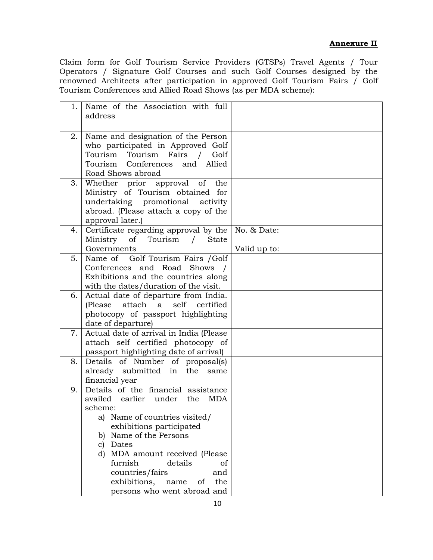#### **Annexure II**

Claim form for Golf Tourism Service Providers (GTSPs) Travel Agents / Tour Operators / Signature Golf Courses and such Golf Courses designed by the renowned Architects after participation in approved Golf Tourism Fairs / Golf Tourism Conferences and Allied Road Shows (as per MDA scheme):

| 1. | Name of the Association with full<br>address                                                                                                                                                                                                                                                                                                                   |                             |
|----|----------------------------------------------------------------------------------------------------------------------------------------------------------------------------------------------------------------------------------------------------------------------------------------------------------------------------------------------------------------|-----------------------------|
| 2. | Name and designation of the Person<br>who participated in Approved Golf<br>Tourism Tourism Fairs<br>Golf<br>$\sqrt{2}$<br>Tourism Conferences and Allied<br>Road Shows abroad                                                                                                                                                                                  |                             |
| 3. | Whether prior approval of the<br>Ministry of Tourism obtained for<br>undertaking promotional<br>activity<br>abroad. (Please attach a copy of the<br>approval later.)                                                                                                                                                                                           |                             |
| 4. | Certificate regarding approval by the<br>Ministry<br>of Tourism<br><b>State</b><br>$\sqrt{2}$<br>Governments                                                                                                                                                                                                                                                   | No. & Date:<br>Valid up to: |
| 5. | Name of Golf Tourism Fairs / Golf<br>Conferences and Road Shows<br>Exhibitions and the countries along<br>with the dates/duration of the visit.                                                                                                                                                                                                                |                             |
| 6. | Actual date of departure from India.<br>attach a self certified<br>(Please<br>photocopy of passport highlighting<br>date of departure)                                                                                                                                                                                                                         |                             |
| 7. | Actual date of arrival in India (Please<br>attach self certified photocopy of<br>passport highlighting date of arrival)                                                                                                                                                                                                                                        |                             |
| 8. | Details of Number of proposal(s)<br>already submitted in<br>the<br>same<br>financial year                                                                                                                                                                                                                                                                      |                             |
| 9. | Details of the financial assistance<br>availed earlier under the<br><b>MDA</b><br>scheme:<br>a) Name of countries visited/<br>exhibitions participated<br>Name of the Persons<br>b)<br>c) Dates<br>MDA amount received (Please<br>d)<br>furnish<br>details<br>of<br>countries/fairs<br>and<br>exhibitions,<br>the<br>name<br>of<br>persons who went abroad and |                             |